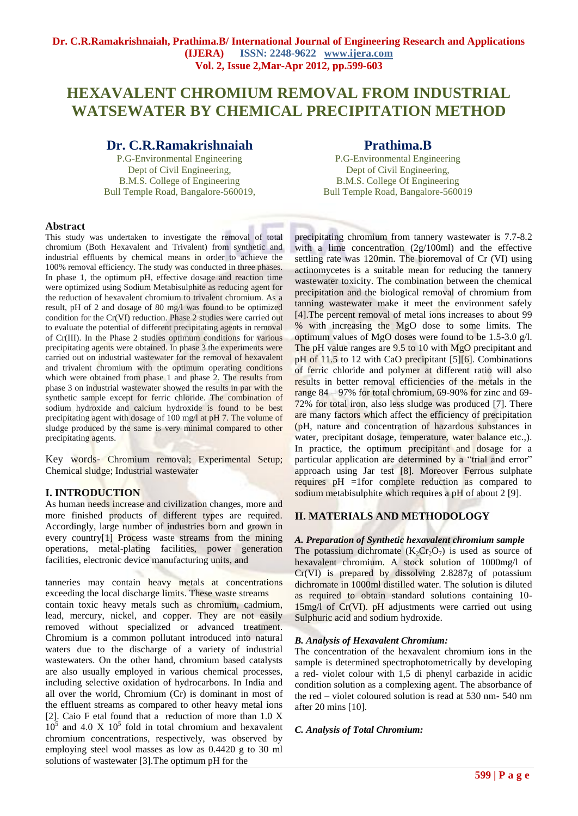# **HEXAVALENT CHROMIUM REMOVAL FROM INDUSTRIAL WATSEWATER BY CHEMICAL PRECIPITATION METHOD**

# **Dr. C.R.Ramakrishnaiah**

P.G-Environmental Engineering Dept of Civil Engineering, B.M.S. College of Engineering Bull Temple Road, Bangalore-560019,

# **Prathima.B**

P.G-Environmental Engineering Dept of Civil Engineering, B.M.S. College Of Engineering Bull Temple Road, Bangalore-560019

#### **Abstract**

This study was undertaken to investigate the removal of total chromium (Both Hexavalent and Trivalent) from synthetic and industrial effluents by chemical means in order to achieve the 100% removal efficiency. The study was conducted in three phases. In phase 1, the optimum pH, effective dosage and reaction time were optimized using Sodium Metabisulphite as reducing agent for the reduction of hexavalent chromium to trivalent chromium. As a result, pH of 2 and dosage of 80 mg/l was found to be optimized condition for the Cr(VI) reduction. Phase 2 studies were carried out to evaluate the potential of different precipitating agents in removal of Cr(III). In the Phase 2 studies optimum conditions for various precipitating agents were obtained. In phase 3 the experiments were carried out on industrial wastewater for the removal of hexavalent and trivalent chromium with the optimum operating conditions which were obtained from phase 1 and phase 2. The results from phase 3 on industrial wastewater showed the results in par with the synthetic sample except for ferric chloride. The combination of sodium hydroxide and calcium hydroxide is found to be best precipitating agent with dosage of 100 mg/l at pH 7. The volume of sludge produced by the same is very minimal compared to other precipitating agents.

Key words- Chromium removal; Experimental Setup; Chemical sludge; Industrial wastewater

### **I. INTRODUCTION**

As human needs increase and civilization changes, more and more finished products of different types are required. Accordingly, large number of industries born and grown in every country[1] Process waste streams from the mining operations, metal-plating facilities, power generation facilities, electronic device manufacturing units, and

tanneries may contain heavy metals at concentrations exceeding the local discharge limits. These waste streams contain toxic heavy metals such as chromium, cadmium, lead, mercury, nickel, and copper. They are not easily removed without specialized or advanced treatment. Chromium is a common pollutant introduced into natural waters due to the discharge of a variety of industrial wastewaters. On the other hand, chromium based catalysts are also usually employed in various chemical processes, including selective oxidation of hydrocarbons. In India and all over the world, Chromium (Cr) is dominant in most of the effluent streams as compared to other heavy metal ions [2]. Caio F etal found that a reduction of more than 1.0 X  $10<sup>5</sup>$  and 4.0 X  $10<sup>5</sup>$  fold in total chromium and hexavalent chromium concentrations, respectively, was observed by employing steel wool masses as low as 0.4420 g to 30 ml solutions of wastewater [3].The optimum pH for the

precipitating chromium from tannery wastewater is 7.7-8.2 with a lime concentration (2g/100ml) and the effective settling rate was 120min. The bioremoval of Cr (VI) using actinomycetes is a suitable mean for reducing the tannery wastewater toxicity. The combination between the chemical precipitation and the biological removal of chromium from tanning wastewater make it meet the environment safely [4].The percent removal of metal ions increases to about 99 % with increasing the MgO dose to some limits. The optimum values of MgO doses were found to be 1.5-3.0 g/l. The pH value ranges are 9.5 to 10 with MgO precipitant and pH of 11.5 to 12 with CaO precipitant [5][6]. Combinations of ferric chloride and polymer at different ratio will also results in better removal efficiencies of the metals in the range 84 – 97% for total chromium, 69-90% for zinc and 69- 72% for total iron, also less sludge was produced [7]. There are many factors which affect the efficiency of precipitation (pH, nature and concentration of hazardous substances in water, precipitant dosage, temperature, water balance etc.,). In practice, the optimum precipitant and dosage for a particular application are determined by a "trial and error" approach using Jar test [8]. Moreover Ferrous sulphate requires pH =1for complete reduction as compared to sodium metabisulphite which requires a pH of about 2 [9].

## **II. MATERIALS AND METHODOLOGY**

*A. Preparation of Synthetic hexavalent chromium sample* The potassium dichromate  $(K_2Cr_2O_7)$  is used as source of hexavalent chromium. A stock solution of 1000mg/l of Cr(VI) is prepared by dissolving 2.8287g of potassium dichromate in 1000ml distilled water. The solution is diluted as required to obtain standard solutions containing 10- 15mg/l of Cr(VI). pH adjustments were carried out using Sulphuric acid and sodium hydroxide.

#### *B. Analysis of Hexavalent Chromium:*

The concentration of the hexavalent chromium ions in the sample is determined spectrophotometrically by developing a red- violet colour with 1,5 di phenyl carbazide in acidic condition solution as a complexing agent. The absorbance of the red – violet coloured solution is read at 530 nm- 540 nm after 20 mins [10].

#### *C. Analysis of Total Chromium:*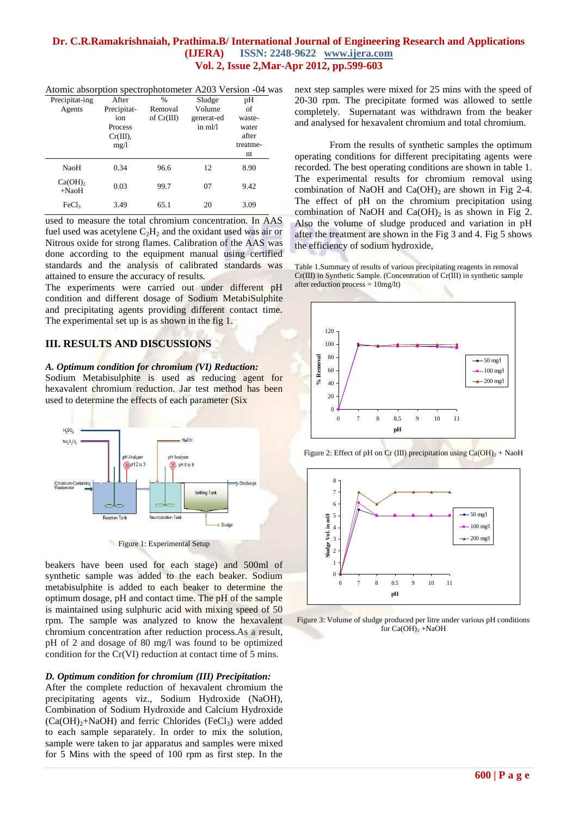Atomic absorption spectrophotometer A203 Version -04 was

| Precipitat-ing                   | After       | $\frac{0}{0}$ | Sludge     | pH       |
|----------------------------------|-------------|---------------|------------|----------|
| Agents                           | Precipitat- | Removal       | Volume     | of       |
|                                  | ion         | of $Cr(III)$  | generat-ed | waste-   |
|                                  | Process     |               | in m1/1    | water    |
|                                  | Cr(III),    |               |            | after    |
|                                  | mg/1        |               |            | treatme- |
|                                  |             |               |            | nt       |
| NaoH                             | 0.34        | 96.6          | 12         | 8.90     |
| $Ca(OH)$ <sub>2</sub><br>$+NaoH$ | 0.03        | 99.7          | 07         | 9.42     |
| FeCl <sub>3</sub>                | 3.49        | 65.1          | 20         | 3.09     |

used to measure the total chromium concentration. In AAS fuel used was acetylene  $C_2H_2$  and the oxidant used was air or Nitrous oxide for strong flames. Calibration of the AAS was done according to the equipment manual using certified standards and the analysis of calibrated standards was attained to ensure the accuracy of results.

The experiments were carried out under different pH condition and different dosage of Sodium MetabiSulphite and precipitating agents providing different contact time. The experimental set up is as shown in the fig 1.

#### **III. RESULTS AND DISCUSSIONS**

*A. Optimum condition for chromium (VI) Reduction:*

Sodium Metabisulphite is used as reducing agent for hexavalent chromium reduction. Jar test method has been used to determine the effects of each parameter (Six



Figure 1: Experimental Setup

beakers have been used for each stage) and 500ml of synthetic sample was added to the each beaker. Sodium metabisulphite is added to each beaker to determine the optimum dosage, pH and contact time. The pH of the sample is maintained using sulphuric acid with mixing speed of 50 rpm. The sample was analyzed to know the hexavalent chromium concentration after reduction process.As a result, pH of 2 and dosage of 80 mg/l was found to be optimized condition for the Cr(VI) reduction at contact time of 5 mins.

#### *D. Optimum condition for chromium (III) Precipitation:*

After the complete reduction of hexavalent chromium the precipitating agents viz., Sodium Hydroxide (NaOH), Combination of Sodium Hydroxide and Calcium Hydroxide  $(Ca(OH)<sub>2</sub>+NaOH)$  and ferric Chlorides (FeCl<sub>3</sub>) were added to each sample separately. In order to mix the solution, sample were taken to jar apparatus and samples were mixed for 5 Mins with the speed of 100 rpm as first step. In the

next step samples were mixed for 25 mins with the speed of 20-30 rpm. The precipitate formed was allowed to settle completely. Supernatant was withdrawn from the beaker and analysed for hexavalent chromium and total chromium.

From the results of synthetic samples the optimum operating conditions for different precipitating agents were recorded. The best operating conditions are shown in table 1. The experimental results for chromium removal using combination of NaOH and  $Ca(OH)$ <sub>2</sub> are shown in Fig 2-4. The effect of pH on the chromium precipitation using combination of NaOH and Ca(OH)<sub>2</sub> is as shown in Fig 2. Also the volume of sludge produced and variation in pH after the treatment are shown in the Fig 3 and 4. Fig 5 shows the efficiency of sodium hydroxide,

Table 1.Summary of results of various precipitating reagents in removal Cr(III) in Synthetic Sample. (Concentration of Cr(III) in synthetic sample after reduction process  $= 10$ mg/lt)







Figure 3: Volume of sludge produced per litre under various pH conditions for  $Ca(OH)$ <sub>2</sub> +NaOH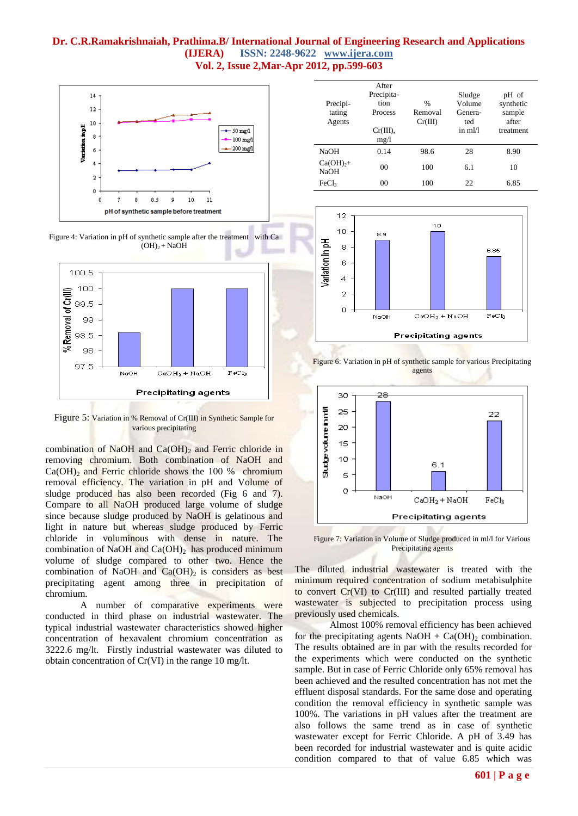

Figure 5: Variation in % Removal of Cr(III) in Synthetic Sample for various precipitating

combination of NaOH and  $Ca(OH)_2$  and Ferric chloride in removing chromium. Both combination of NaOH and  $Ca(OH)_{2}$  and Ferric chloride shows the 100 % chromium removal efficiency. The variation in pH and Volume of sludge produced has also been recorded (Fig 6 and 7). Compare to all NaOH produced large volume of sludge since because sludge produced by NaOH is gelatinous and light in nature but whereas sludge produced by Ferric chloride in voluminous with dense in nature. The combination of NaOH and  $Ca(OH)_2$  has produced minimum volume of sludge compared to other two. Hence the combination of NaOH and  $Ca(OH)_2$  is considers as best precipitating agent among three in precipitation of chromium.

A number of comparative experiments were conducted in third phase on industrial wastewater. The typical industrial wastewater characteristics showed higher concentration of hexavalent chromium concentration as 3222.6 mg/lt. Firstly industrial wastewater was diluted to obtain concentration of Cr(VI) in the range 10 mg/lt.

| Precipi-<br>tating<br>Agents | After<br>Precipita-<br>tion<br>Process<br>Cr(III),<br>mg/1 | $\frac{0}{0}$<br>Removal<br>Cr(III) | Sludge<br>Volume<br>Genera-<br>ted<br>in m1/1 | pH of<br>synthetic<br>sample<br>after<br>treatment |
|------------------------------|------------------------------------------------------------|-------------------------------------|-----------------------------------------------|----------------------------------------------------|
| <b>NaOH</b>                  | 0.14                                                       | 98.6                                | 28                                            | 8.90                                               |
| $Ca(OH)_{2}+$<br><b>NaOH</b> | 0 <sup>0</sup>                                             | 100                                 | 6.1                                           | 10                                                 |
| FeCl <sub>3</sub>            | 00                                                         | 100                                 | 22                                            | 6.85                                               |



Figure 6: Variation in pH of synthetic sample for various Precipitating agents



Figure 7: Variation in Volume of Sludge produced in ml/l for Various Precipitating agents

The diluted industrial wastewater is treated with the minimum required concentration of sodium metabisulphite to convert Cr(VI) to Cr(III) and resulted partially treated wastewater is subjected to precipitation process using previously used chemicals.

Almost 100% removal efficiency has been achieved for the precipitating agents  $NaOH + Ca(OH)_{2}$  combination. The results obtained are in par with the results recorded for the experiments which were conducted on the synthetic sample. But in case of Ferric Chloride only 65% removal has been achieved and the resulted concentration has not met the effluent disposal standards. For the same dose and operating condition the removal efficiency in synthetic sample was 100%. The variations in pH values after the treatment are also follows the same trend as in case of synthetic wastewater except for Ferric Chloride. A pH of 3.49 has been recorded for industrial wastewater and is quite acidic condition compared to that of value 6.85 which was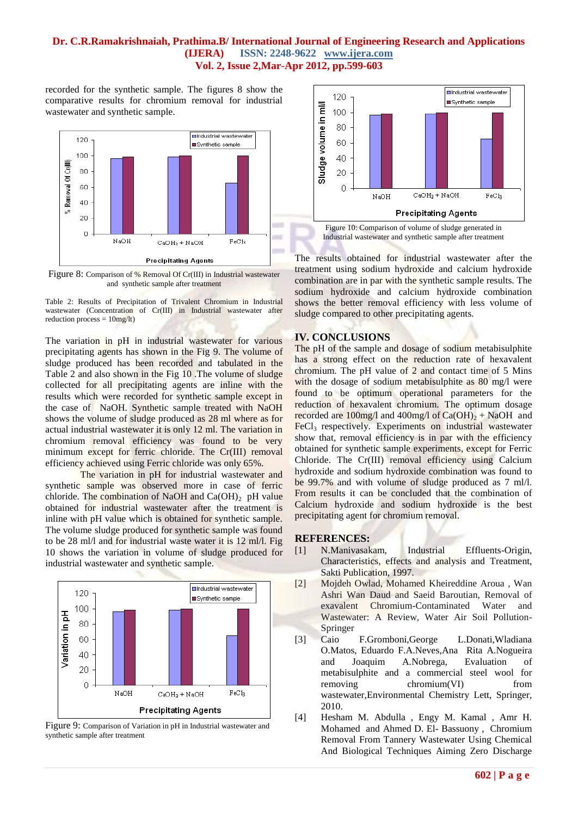recorded for the synthetic sample. The figures 8 show the comparative results for chromium removal for industrial wastewater and synthetic sample.



Figure 8: Comparison of % Removal Of Cr(III) in Industrial wastewater and synthetic sample after treatment

Table 2: Results of Precipitation of Trivalent Chromium in Industrial wastewater (Concentration of Cr(III) in Industrial wastewater after reduction process =  $10mg/lt$ )

The variation in pH in industrial wastewater for various precipitating agents has shown in the Fig 9. The volume of sludge produced has been recorded and tabulated in the Table 2 and also shown in the Fig 10 .The volume of sludge collected for all precipitating agents are inline with the results which were recorded for synthetic sample except in the case of NaOH. Synthetic sample treated with NaOH shows the volume of sludge produced as 28 ml where as for actual industrial wastewater it is only 12 ml. The variation in chromium removal efficiency was found to be very minimum except for ferric chloride. The Cr(III) removal efficiency achieved using Ferric chloride was only 65%.

The variation in pH for industrial wastewater and synthetic sample was observed more in case of ferric chloride. The combination of NaOH and  $Ca(OH)_2$  pH value obtained for industrial wastewater after the treatment is inline with pH value which is obtained for synthetic sample. The volume sludge produced for synthetic sample was found to be 28 ml/l and for industrial waste water it is 12 ml/l. Fig 10 shows the variation in volume of sludge produced for industrial wastewater and synthetic sample.



Figure 9: Comparison of Variation in pH in Industrial wastewater and synthetic sample after treatment



Industrial wastewater and synthetic sample after treatment

The results obtained for industrial wastewater after the treatment using sodium hydroxide and calcium hydroxide combination are in par with the synthetic sample results. The sodium hydroxide and calcium hydroxide combination shows the better removal efficiency with less volume of sludge compared to other precipitating agents.

#### **IV. CONCLUSIONS**

The pH of the sample and dosage of sodium metabisulphite has a strong effect on the reduction rate of hexavalent chromium. The pH value of 2 and contact time of 5 Mins with the dosage of sodium metabisulphite as 80 mg/l were found to be optimum operational parameters for the reduction of hexavalent chromium. The optimum dosage recorded are 100mg/l and 400mg/l of  $Ca(OH)_2 + NaOH$  and FeCl<sub>3</sub> respectively. Experiments on industrial wastewater show that, removal efficiency is in par with the efficiency obtained for synthetic sample experiments, except for Ferric Chloride. The Cr(III) removal efficiency using Calcium hydroxide and sodium hydroxide combination was found to be 99.7% and with volume of sludge produced as 7 ml/l. From results it can be concluded that the combination of Calcium hydroxide and sodium hydroxide is the best precipitating agent for chromium removal.

#### **REFERENCES:**

- [1] N.Manivasakam, Industrial Effluents-Origin, Characteristics, effects and analysis and Treatment, Sakti Publication, 1997.
- [2] Mojdeh Owlad, Mohamed Kheireddine Aroua , Wan Ashri Wan Daud and Saeid Baroutian, Removal of exavalent Chromium-Contaminated Water and Wastewater: A Review, Water Air Soil Pollution-Springer
- [3] Caio F.Gromboni,George L.Donati,Wladiana O.Matos, Eduardo F.A.Neves,Ana Rita A.Nogueira and Joaquim A.Nobrega, Evaluation of metabisulphite and a commercial steel wool for removing chromium(VI) from wastewater,Environmental Chemistry Lett, Springer, 2010.
- [4] Hesham M. Abdulla , Engy M. Kamal , Amr H. Mohamed and Ahmed D. El- Bassuony , Chromium Removal From Tannery Wastewater Using Chemical And Biological Techniques Aiming Zero Discharge